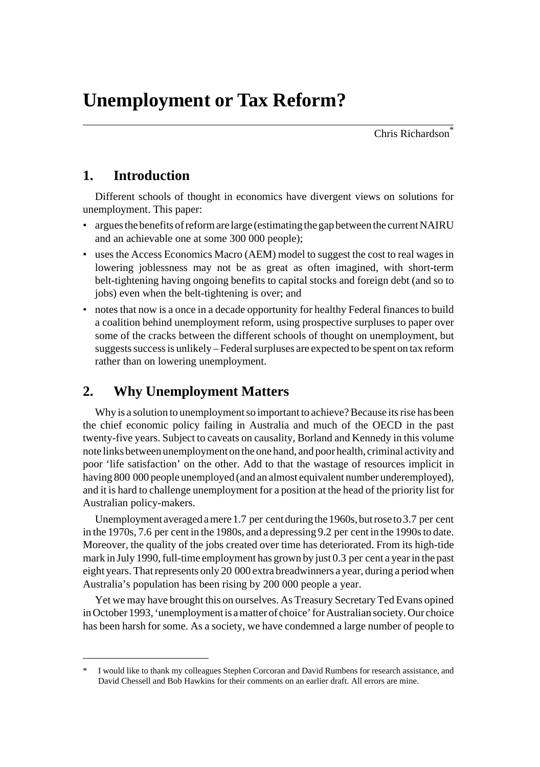Chris Richardson<sup>\*</sup>

# **1. Introduction**

Different schools of thought in economics have divergent views on solutions for unemployment. This paper:

- argues the benefits of reform are large (estimating the gap between the current NAIRU and an achievable one at some 300 000 people);
- uses the Access Economics Macro (AEM) model to suggest the cost to real wages in lowering joblessness may not be as great as often imagined, with short-term belt-tightening having ongoing benefits to capital stocks and foreign debt (and so to jobs) even when the belt-tightening is over; and
- notes that now is a once in a decade opportunity for healthy Federal finances to build a coalition behind unemployment reform, using prospective surpluses to paper over some of the cracks between the different schools of thought on unemployment, but suggests success is unlikely – Federal surpluses are expected to be spent on tax reform rather than on lowering unemployment.

# **2. Why Unemployment Matters**

Why is a solution to unemployment so important to achieve? Because its rise has been the chief economic policy failing in Australia and much of the OECD in the past twenty-five years. Subject to caveats on causality, Borland and Kennedy in this volume note links between unemployment on the one hand, and poor health, criminal activity and poor 'life satisfaction' on the other. Add to that the wastage of resources implicit in having 800 000 people unemployed (and an almost equivalent number underemployed), and it is hard to challenge unemployment for a position at the head of the priority list for Australian policy-makers.

Unemployment averaged a mere 1.7 per cent during the 1960s, but rose to 3.7 per cent in the 1970s, 7.6 per cent in the 1980s, and a depressing 9.2 per cent in the 1990s to date. Moreover, the quality of the jobs created over time has deteriorated. From its high-tide mark in July 1990, full-time employment has grown by just 0.3 per cent a year in the past eight years. That represents only 20 000 extra breadwinners a year, during a period when Australia's population has been rising by 200 000 people a year.

Yet we may have brought this on ourselves. As Treasury Secretary Ted Evans opined in October 1993, 'unemployment is a matter of choice' for Australian society. Our choice has been harsh for some. As a society, we have condemned a large number of people to

I would like to thank my colleagues Stephen Corcoran and David Rumbens for research assistance, and David Chessell and Bob Hawkins for their comments on an earlier draft. All errors are mine.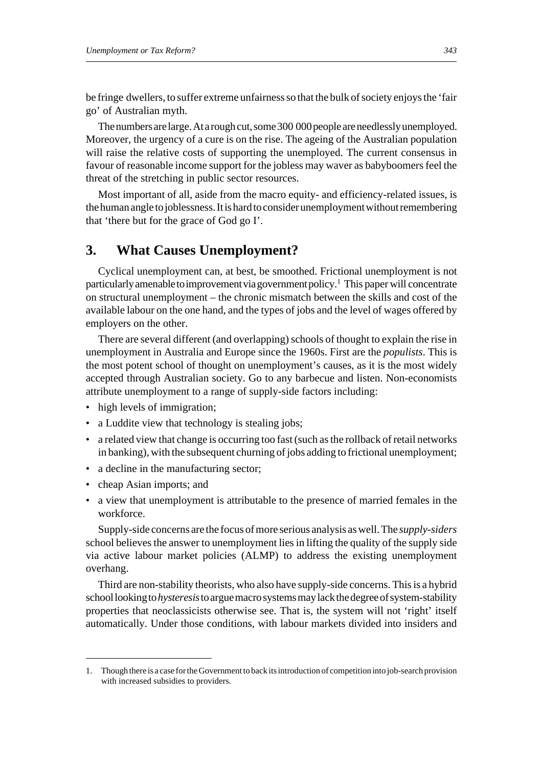be fringe dwellers, to suffer extreme unfairness so that the bulk of society enjoys the 'fair go' of Australian myth.

The numbers are large. At a rough cut, some 300 000 people are needlessly unemployed. Moreover, the urgency of a cure is on the rise. The ageing of the Australian population will raise the relative costs of supporting the unemployed. The current consensus in favour of reasonable income support for the jobless may waver as babyboomers feel the threat of the stretching in public sector resources.

Most important of all, aside from the macro equity- and efficiency-related issues, is the human angle to joblessness. It is hard to consider unemployment without remembering that 'there but for the grace of God go I'.

## **3. What Causes Unemployment?**

Cyclical unemployment can, at best, be smoothed. Frictional unemployment is not particularly amenable to improvement via government policy.<sup>1</sup> This paper will concentrate on structural unemployment – the chronic mismatch between the skills and cost of the available labour on the one hand, and the types of jobs and the level of wages offered by employers on the other.

There are several different (and overlapping) schools of thought to explain the rise in unemployment in Australia and Europe since the 1960s. First are the *populists*. This is the most potent school of thought on unemployment's causes, as it is the most widely accepted through Australian society. Go to any barbecue and listen. Non-economists attribute unemployment to a range of supply-side factors including:

- high levels of immigration;
- a Luddite view that technology is stealing jobs;
- a related view that change is occurring too fast (such as the rollback of retail networks in banking), with the subsequent churning of jobs adding to frictional unemployment;
- a decline in the manufacturing sector;
- cheap Asian imports; and
- a view that unemployment is attributable to the presence of married females in the workforce.

Supply-side concerns are the focus of more serious analysis as well. The *supply-siders* school believes the answer to unemployment lies in lifting the quality of the supply side via active labour market policies (ALMP) to address the existing unemployment overhang.

Third are non-stability theorists, who also have supply-side concerns. This is a hybrid school looking to *hysteresis* to argue macro systems may lack the degree of system-stability properties that neoclassicists otherwise see. That is, the system will not 'right' itself automatically. Under those conditions, with labour markets divided into insiders and

<sup>1.</sup> Though there is a case for the Government to back its introduction of competition into job-search provision with increased subsidies to providers.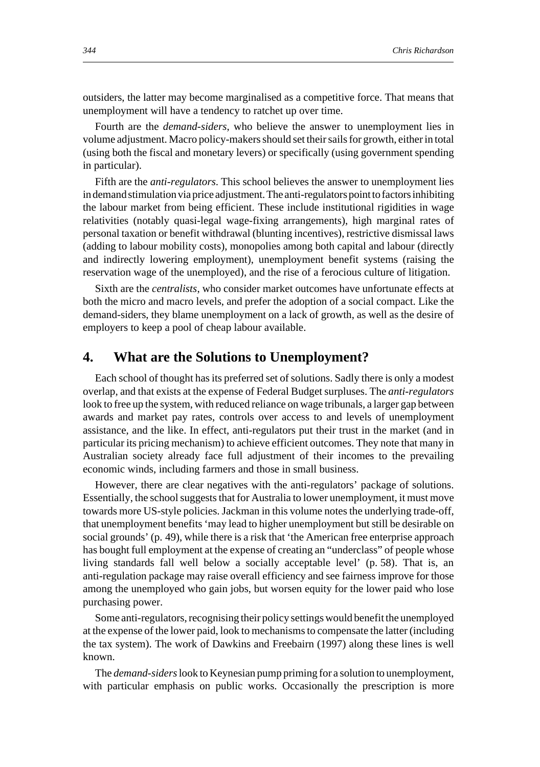outsiders, the latter may become marginalised as a competitive force. That means that unemployment will have a tendency to ratchet up over time.

Fourth are the *demand-siders*, who believe the answer to unemployment lies in volume adjustment. Macro policy-makers should set their sails for growth, either in total (using both the fiscal and monetary levers) or specifically (using government spending in particular).

Fifth are the *anti-regulators*. This school believes the answer to unemployment lies in demand stimulation via price adjustment. The anti-regulators point to factors inhibiting the labour market from being efficient. These include institutional rigidities in wage relativities (notably quasi-legal wage-fixing arrangements), high marginal rates of personal taxation or benefit withdrawal (blunting incentives), restrictive dismissal laws (adding to labour mobility costs), monopolies among both capital and labour (directly and indirectly lowering employment), unemployment benefit systems (raising the reservation wage of the unemployed), and the rise of a ferocious culture of litigation.

Sixth are the *centralists*, who consider market outcomes have unfortunate effects at both the micro and macro levels, and prefer the adoption of a social compact. Like the demand-siders, they blame unemployment on a lack of growth, as well as the desire of employers to keep a pool of cheap labour available.

#### **4. What are the Solutions to Unemployment?**

Each school of thought has its preferred set of solutions. Sadly there is only a modest overlap, and that exists at the expense of Federal Budget surpluses. The *anti-regulators* look to free up the system, with reduced reliance on wage tribunals, a larger gap between awards and market pay rates, controls over access to and levels of unemployment assistance, and the like. In effect, anti-regulators put their trust in the market (and in particular its pricing mechanism) to achieve efficient outcomes. They note that many in Australian society already face full adjustment of their incomes to the prevailing economic winds, including farmers and those in small business.

However, there are clear negatives with the anti-regulators' package of solutions. Essentially, the school suggests that for Australia to lower unemployment, it must move towards more US-style policies. Jackman in this volume notes the underlying trade-off, that unemployment benefits 'may lead to higher unemployment but still be desirable on social grounds' (p. 49), while there is a risk that 'the American free enterprise approach has bought full employment at the expense of creating an "underclass" of people whose living standards fall well below a socially acceptable level' (p. 58). That is, an anti-regulation package may raise overall efficiency and see fairness improve for those among the unemployed who gain jobs, but worsen equity for the lower paid who lose purchasing power.

Some anti-regulators, recognising their policy settings would benefit the unemployed at the expense of the lower paid, look to mechanisms to compensate the latter (including the tax system). The work of Dawkins and Freebairn (1997) along these lines is well known.

The *demand-siders* look to Keynesian pump priming for a solution to unemployment, with particular emphasis on public works. Occasionally the prescription is more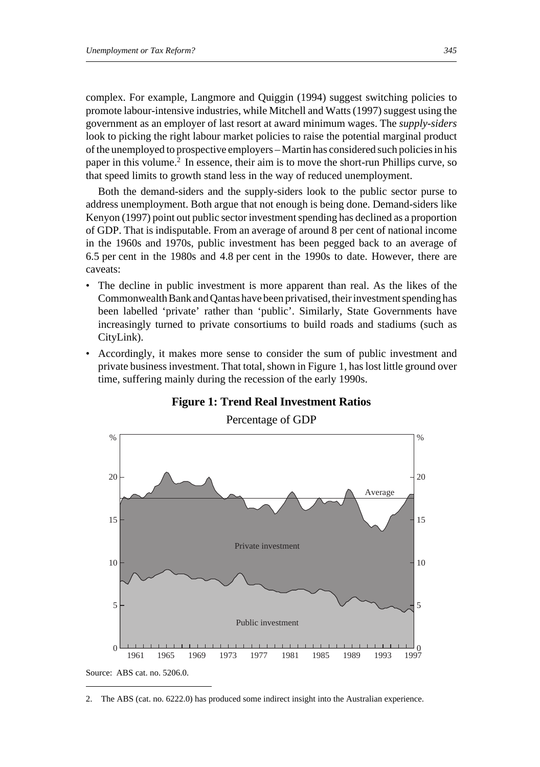complex. For example, Langmore and Quiggin (1994) suggest switching policies to promote labour-intensive industries, while Mitchell and Watts (1997) suggest using the government as an employer of last resort at award minimum wages. The *supply-siders* look to picking the right labour market policies to raise the potential marginal product of the unemployed to prospective employers – Martin has considered such policies in his paper in this volume.2 In essence, their aim is to move the short-run Phillips curve, so that speed limits to growth stand less in the way of reduced unemployment.

Both the demand-siders and the supply-siders look to the public sector purse to address unemployment. Both argue that not enough is being done. Demand-siders like Kenyon (1997) point out public sector investment spending has declined as a proportion of GDP. That is indisputable. From an average of around 8 per cent of national income in the 1960s and 1970s, public investment has been pegged back to an average of 6.5 per cent in the 1980s and 4.8 per cent in the 1990s to date. However, there are caveats:

- The decline in public investment is more apparent than real. As the likes of the Commonwealth Bank and Qantas have been privatised, their investment spending has been labelled 'private' rather than 'public'. Similarly, State Governments have increasingly turned to private consortiums to build roads and stadiums (such as CityLink).
- Accordingly, it makes more sense to consider the sum of public investment and private business investment. That total, shown in Figure 1, has lost little ground over time, suffering mainly during the recession of the early 1990s.



#### **Figure 1: Trend Real Investment Ratios**

<sup>2.</sup> The ABS (cat. no. 6222.0) has produced some indirect insight into the Australian experience.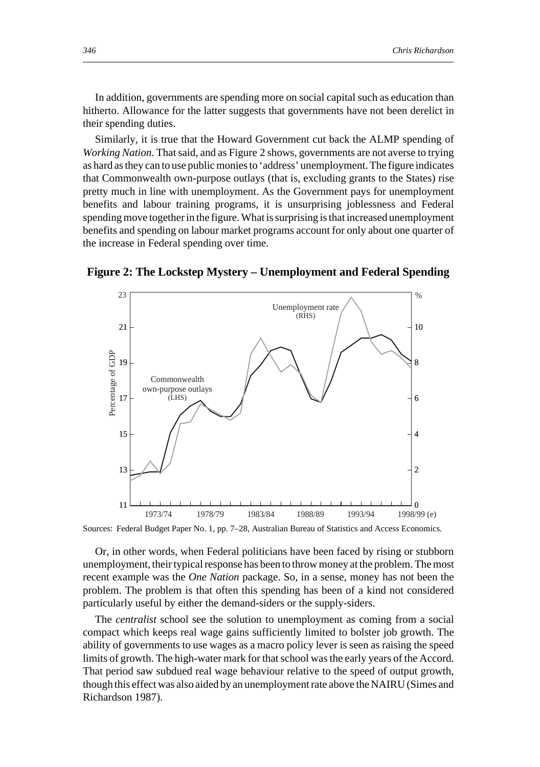In addition, governments are spending more on social capital such as education than hitherto. Allowance for the latter suggests that governments have not been derelict in their spending duties.

Similarly, it is true that the Howard Government cut back the ALMP spending of *Working Nation*. That said, and as Figure 2 shows, governments are not averse to trying as hard as they can to use public monies to 'address' unemployment. The figure indicates that Commonwealth own-purpose outlays (that is, excluding grants to the States) rise pretty much in line with unemployment. As the Government pays for unemployment benefits and labour training programs, it is unsurprising joblessness and Federal spending move together in the figure. What is surprising is that increased unemployment benefits and spending on labour market programs account for only about one quarter of the increase in Federal spending over time.



**Figure 2: The Lockstep Mystery – Unemployment and Federal Spending**

Sources: Federal Budget Paper No. 1, pp. 7–28, Australian Bureau of Statistics and Access Economics.

Or, in other words, when Federal politicians have been faced by rising or stubborn unemployment, their typical response has been to throw money at the problem. The most recent example was the *One Nation* package. So, in a sense, money has not been the problem. The problem is that often this spending has been of a kind not considered particularly useful by either the demand-siders or the supply-siders.

The *centralist* school see the solution to unemployment as coming from a social compact which keeps real wage gains sufficiently limited to bolster job growth. The ability of governments to use wages as a macro policy lever is seen as raising the speed limits of growth. The high-water mark for that school was the early years of the Accord. That period saw subdued real wage behaviour relative to the speed of output growth, though this effect was also aided by an unemployment rate above the NAIRU (Simes and Richardson 1987).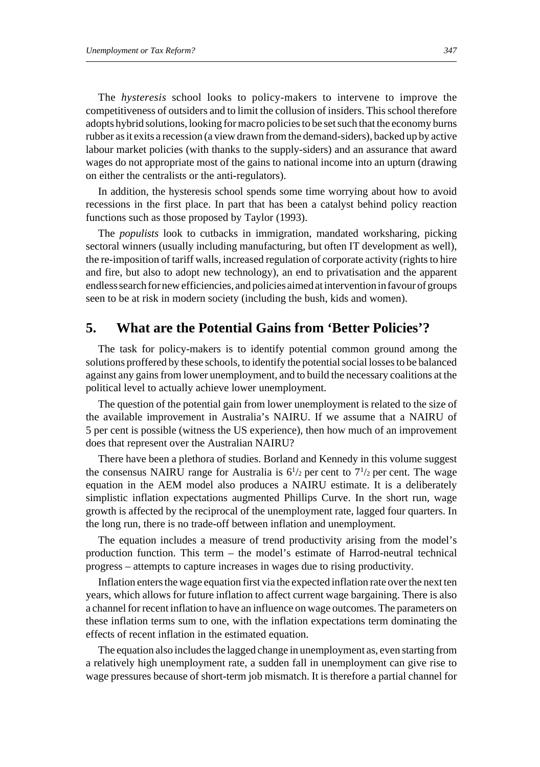The *hysteresis* school looks to policy-makers to intervene to improve the competitiveness of outsiders and to limit the collusion of insiders. This school therefore adopts hybrid solutions, looking for macro policies to be set such that the economy burns rubber as it exits a recession (a view drawn from the demand-siders), backed up by active labour market policies (with thanks to the supply-siders) and an assurance that award wages do not appropriate most of the gains to national income into an upturn (drawing on either the centralists or the anti-regulators).

In addition, the hysteresis school spends some time worrying about how to avoid recessions in the first place. In part that has been a catalyst behind policy reaction functions such as those proposed by Taylor (1993).

The *populists* look to cutbacks in immigration, mandated worksharing, picking sectoral winners (usually including manufacturing, but often IT development as well), the re-imposition of tariff walls, increased regulation of corporate activity (rights to hire and fire, but also to adopt new technology), an end to privatisation and the apparent endless search for new efficiencies, and policies aimed at intervention in favour of groups seen to be at risk in modern society (including the bush, kids and women).

#### **5. What are the Potential Gains from 'Better Policies'?**

The task for policy-makers is to identify potential common ground among the solutions proffered by these schools, to identify the potential social losses to be balanced against any gains from lower unemployment, and to build the necessary coalitions at the political level to actually achieve lower unemployment.

The question of the potential gain from lower unemployment is related to the size of the available improvement in Australia's NAIRU. If we assume that a NAIRU of 5 per cent is possible (witness the US experience), then how much of an improvement does that represent over the Australian NAIRU?

There have been a plethora of studies. Borland and Kennedy in this volume suggest the consensus NAIRU range for Australia is  $6^{1/2}$  per cent to  $7^{1/2}$  per cent. The wage equation in the AEM model also produces a NAIRU estimate. It is a deliberately simplistic inflation expectations augmented Phillips Curve. In the short run, wage growth is affected by the reciprocal of the unemployment rate, lagged four quarters. In the long run, there is no trade-off between inflation and unemployment.

The equation includes a measure of trend productivity arising from the model's production function. This term – the model's estimate of Harrod-neutral technical progress – attempts to capture increases in wages due to rising productivity.

Inflation enters the wage equation first via the expected inflation rate over the next ten years, which allows for future inflation to affect current wage bargaining. There is also a channel for recent inflation to have an influence on wage outcomes. The parameters on these inflation terms sum to one, with the inflation expectations term dominating the effects of recent inflation in the estimated equation.

The equation also includes the lagged change in unemployment as, even starting from a relatively high unemployment rate, a sudden fall in unemployment can give rise to wage pressures because of short-term job mismatch. It is therefore a partial channel for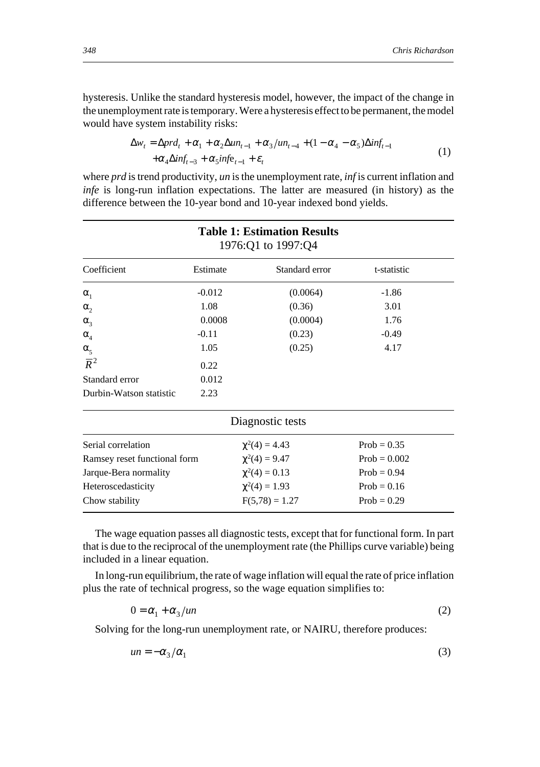$Prob = 0.002$ 

 $Prob = 0.94$ 

hysteresis. Unlike the standard hysteresis model, however, the impact of the change in the unemployment rate is temporary. Were a hysteresis effect to be permanent, the model would have system instability risks:

$$
\Delta w_t = \Delta pr d_t + \alpha_1 + \alpha_2 \Delta u n_{t-1} + \alpha_3 / u n_{t-4} + (1 - \alpha_4 - \alpha_5) \Delta inf_{t-1}
$$
  
 
$$
+ \alpha_4 \Delta inf_{t-3} + \alpha_5 inf_{t-1} + \varepsilon_t
$$
 (1)

where *prd* is trend productivity, *un* is the unemployment rate, *inf* is current inflation and *infe* is long-run inflation expectations. The latter are measured (in history) as the difference between the 10-year bond and 10-year indexed bond yields.

| <b>Table 1: Estimation Results</b><br>1976:Q1 to 1997:Q4 |                    |                  |               |  |  |  |  |
|----------------------------------------------------------|--------------------|------------------|---------------|--|--|--|--|
| Coefficient                                              | Estimate           | Standard error   | t-statistic   |  |  |  |  |
| $\alpha_{1}$                                             | $-0.012$           | (0.0064)         | $-1.86$       |  |  |  |  |
| $\alpha$ ,                                               | 1.08               | (0.36)           | 3.01          |  |  |  |  |
| $\alpha_{3}$                                             | 0.0008             | (0.0004)         | 1.76          |  |  |  |  |
| $\alpha_{4}$                                             | $-0.11$            | (0.23)           | $-0.49$       |  |  |  |  |
| $\alpha_{\varsigma}$                                     | 1.05               | (0.25)           | 4.17          |  |  |  |  |
| $\overline{R}^2$                                         | 0.22               |                  |               |  |  |  |  |
| Standard error                                           | 0.012              |                  |               |  |  |  |  |
| Durbin-Watson statistic                                  | 2.23               |                  |               |  |  |  |  |
|                                                          |                    | Diagnostic tests |               |  |  |  |  |
| Serial correlation                                       | $\chi^2(4) = 4.43$ |                  | $Prob = 0.35$ |  |  |  |  |

The wage equation passes all diagnostic tests, except that for functional form. In part that is due to the reciprocal of the unemployment rate (the Phillips curve variable) being included in a linear equation.

Chow stability  $F(5,78) = 1.27$  Prob = 0.29

Ramsey reset functional form  $\chi^2(4) = 9.47$ 

Jarque-Bera normality  $\chi^2(4) = 0.13$ 

Heteroscedasticity

In long-run equilibrium, the rate of wage inflation will equal the rate of price inflation plus the rate of technical progress, so the wage equation simplifies to:

$$
0 = \alpha_1 + \alpha_3 / un \tag{2}
$$

 $\chi^2(4) = 1.93$  Prob = 0.16

Solving for the long-run unemployment rate, or NAIRU, therefore produces:

$$
un = -\alpha_3/\alpha_1 \tag{3}
$$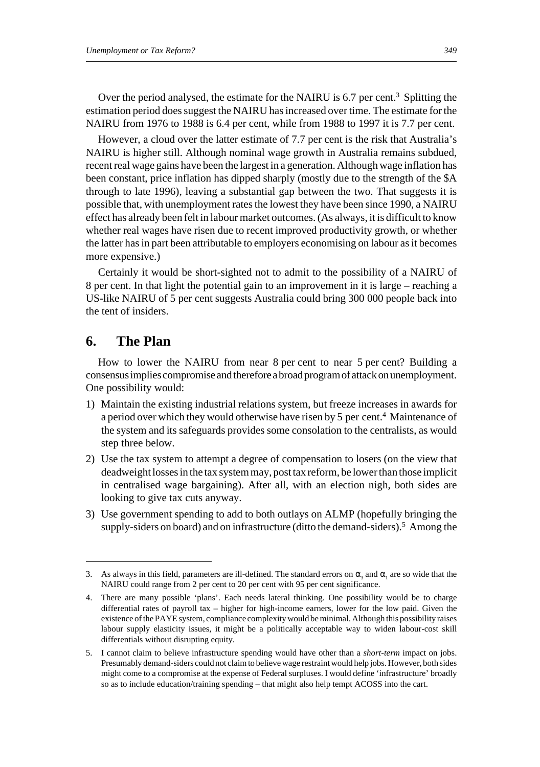Over the period analysed, the estimate for the NAIRU is 6.7 per cent.<sup>3</sup> Splitting the estimation period does suggest the NAIRU has increased over time. The estimate for the NAIRU from 1976 to 1988 is 6.4 per cent, while from 1988 to 1997 it is 7.7 per cent.

However, a cloud over the latter estimate of 7.7 per cent is the risk that Australia's NAIRU is higher still. Although nominal wage growth in Australia remains subdued, recent real wage gains have been the largest in a generation. Although wage inflation has been constant, price inflation has dipped sharply (mostly due to the strength of the \$A through to late 1996), leaving a substantial gap between the two. That suggests it is possible that, with unemployment rates the lowest they have been since 1990, a NAIRU effect has already been felt in labour market outcomes. (As always, it is difficult to know whether real wages have risen due to recent improved productivity growth, or whether the latter has in part been attributable to employers economising on labour as it becomes more expensive.)

Certainly it would be short-sighted not to admit to the possibility of a NAIRU of 8 per cent. In that light the potential gain to an improvement in it is large – reaching a US-like NAIRU of 5 per cent suggests Australia could bring 300 000 people back into the tent of insiders.

## **6. The Plan**

How to lower the NAIRU from near 8 per cent to near 5 per cent? Building a consensus implies compromise and therefore a broad program of attack on unemployment. One possibility would:

- 1) Maintain the existing industrial relations system, but freeze increases in awards for a period over which they would otherwise have risen by 5 per cent.<sup>4</sup> Maintenance of the system and its safeguards provides some consolation to the centralists, as would step three below.
- 2) Use the tax system to attempt a degree of compensation to losers (on the view that deadweight losses in the tax system may, post tax reform, be lower than those implicit in centralised wage bargaining). After all, with an election nigh, both sides are looking to give tax cuts anyway.
- 3) Use government spending to add to both outlays on ALMP (hopefully bringing the supply-siders on board) and on infrastructure (ditto the demand-siders).<sup>5</sup> Among the

<sup>3.</sup> As always in this field, parameters are ill-defined. The standard errors on  $\alpha_3$  and  $\alpha_1$  are so wide that the NAIRU could range from 2 per cent to 20 per cent with 95 per cent significance.

<sup>4.</sup> There are many possible 'plans'. Each needs lateral thinking. One possibility would be to charge differential rates of payroll tax – higher for high-income earners, lower for the low paid. Given the existence of the PAYE system, compliance complexity would be minimal. Although this possibility raises labour supply elasticity issues, it might be a politically acceptable way to widen labour-cost skill differentials without disrupting equity.

<sup>5.</sup> I cannot claim to believe infrastructure spending would have other than a *short-term* impact on jobs. Presumably demand-siders could not claim to believe wage restraint would help jobs. However, both sides might come to a compromise at the expense of Federal surpluses. I would define 'infrastructure' broadly so as to include education/training spending – that might also help tempt ACOSS into the cart.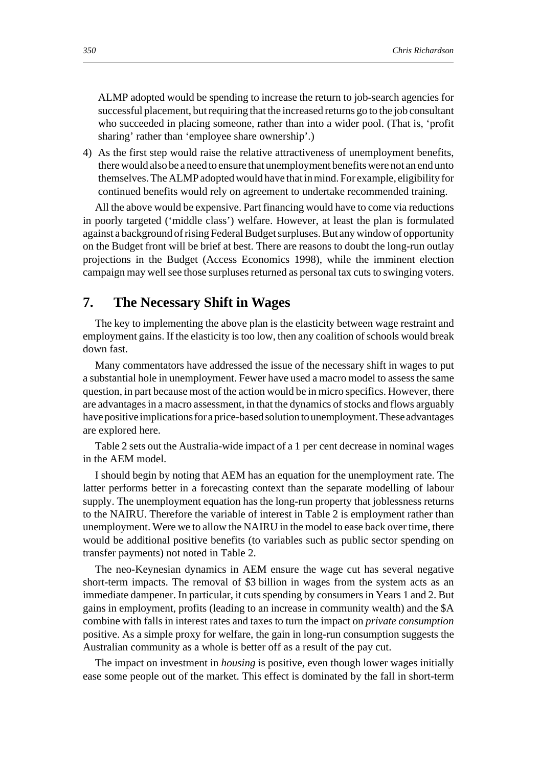ALMP adopted would be spending to increase the return to job-search agencies for successful placement, but requiring that the increased returns go to the job consultant who succeeded in placing someone, rather than into a wider pool. (That is, 'profit sharing' rather than 'employee share ownership'.)

4) As the first step would raise the relative attractiveness of unemployment benefits, there would also be a need to ensure that unemployment benefits were not an end unto themselves. The ALMP adopted would have that in mind. For example, eligibility for continued benefits would rely on agreement to undertake recommended training.

All the above would be expensive. Part financing would have to come via reductions in poorly targeted ('middle class') welfare. However, at least the plan is formulated against a background of rising Federal Budget surpluses. But any window of opportunity on the Budget front will be brief at best. There are reasons to doubt the long-run outlay projections in the Budget (Access Economics 1998), while the imminent election campaign may well see those surpluses returned as personal tax cuts to swinging voters.

## **7. The Necessary Shift in Wages**

The key to implementing the above plan is the elasticity between wage restraint and employment gains. If the elasticity is too low, then any coalition of schools would break down fast.

Many commentators have addressed the issue of the necessary shift in wages to put a substantial hole in unemployment. Fewer have used a macro model to assess the same question, in part because most of the action would be in micro specifics. However, there are advantages in a macro assessment, in that the dynamics of stocks and flows arguably have positive implications for a price-based solution to unemployment. These advantages are explored here.

Table 2 sets out the Australia-wide impact of a 1 per cent decrease in nominal wages in the AEM model.

I should begin by noting that AEM has an equation for the unemployment rate. The latter performs better in a forecasting context than the separate modelling of labour supply. The unemployment equation has the long-run property that joblessness returns to the NAIRU. Therefore the variable of interest in Table 2 is employment rather than unemployment. Were we to allow the NAIRU in the model to ease back over time, there would be additional positive benefits (to variables such as public sector spending on transfer payments) not noted in Table 2.

The neo-Keynesian dynamics in AEM ensure the wage cut has several negative short-term impacts. The removal of \$3 billion in wages from the system acts as an immediate dampener. In particular, it cuts spending by consumers in Years 1 and 2. But gains in employment, profits (leading to an increase in community wealth) and the \$A combine with falls in interest rates and taxes to turn the impact on *private consumption* positive. As a simple proxy for welfare, the gain in long-run consumption suggests the Australian community as a whole is better off as a result of the pay cut.

The impact on investment in *housing* is positive, even though lower wages initially ease some people out of the market. This effect is dominated by the fall in short-term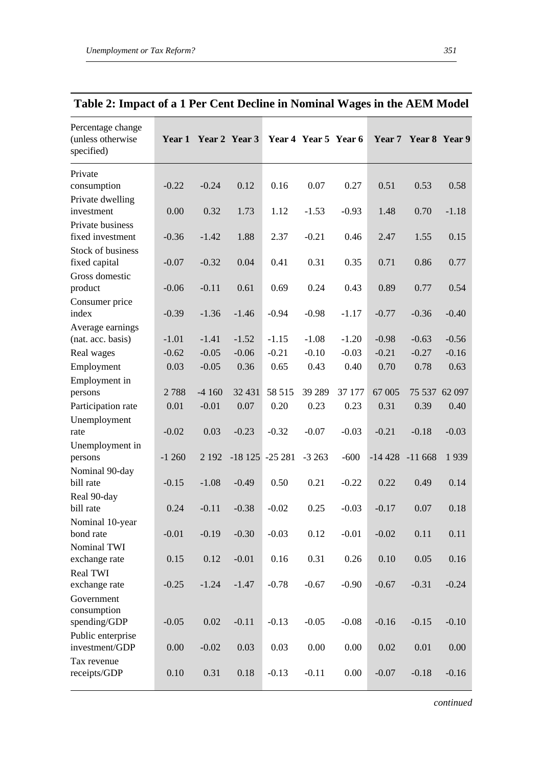| Percentage change<br>(unless otherwise<br>specified) |          |          | Year 1 Year 2 Year 3 |                     | Year 4 Year 5 Year 6 |          |          | Year 7 Year 8 Year 9 |          |
|------------------------------------------------------|----------|----------|----------------------|---------------------|----------------------|----------|----------|----------------------|----------|
| Private                                              |          |          |                      |                     |                      |          |          |                      |          |
| consumption                                          | $-0.22$  | $-0.24$  | 0.12                 | 0.16                | 0.07                 | 0.27     | 0.51     | 0.53                 | 0.58     |
| Private dwelling                                     |          |          |                      |                     |                      |          |          |                      |          |
| investment                                           | 0.00     | 0.32     | 1.73                 | 1.12                | $-1.53$              | $-0.93$  | 1.48     | 0.70                 | $-1.18$  |
| Private business<br>fixed investment                 | $-0.36$  | $-1.42$  | 1.88                 | 2.37                | $-0.21$              | 0.46     | 2.47     | 1.55                 | 0.15     |
| <b>Stock of business</b>                             |          |          |                      |                     |                      |          |          |                      |          |
| fixed capital                                        | $-0.07$  | $-0.32$  | 0.04                 | 0.41                | 0.31                 | 0.35     | 0.71     | 0.86                 | 0.77     |
| Gross domestic                                       |          |          |                      |                     |                      |          |          |                      |          |
| product                                              | $-0.06$  | $-0.11$  | 0.61                 | 0.69                | 0.24                 | 0.43     | 0.89     | 0.77                 | 0.54     |
| Consumer price<br>index                              | $-0.39$  | $-1.36$  | $-1.46$              | $-0.94$             | $-0.98$              | $-1.17$  | $-0.77$  | $-0.36$              | $-0.40$  |
| Average earnings                                     |          |          |                      |                     |                      |          |          |                      |          |
| (nat. acc. basis)                                    | $-1.01$  | $-1.41$  | $-1.52$              | $-1.15$             | $-1.08$              | $-1.20$  | $-0.98$  | $-0.63$              | $-0.56$  |
| Real wages                                           | $-0.62$  | $-0.05$  | $-0.06$              | $-0.21$             | $-0.10$              | $-0.03$  | $-0.21$  | $-0.27$              | $-0.16$  |
| Employment                                           | 0.03     | $-0.05$  | 0.36                 | 0.65                | 0.43                 | 0.40     | 0.70     | 0.78                 | 0.63     |
| Employment in                                        |          |          |                      |                     |                      |          |          |                      |          |
| persons                                              | 2788     | $-4160$  | 32 431               | 58 515              | 39 289               | 37 177   | 67 005   | 75 537 62 097        |          |
| Participation rate                                   | 0.01     | $-0.01$  | 0.07                 | 0.20                | 0.23                 | 0.23     | 0.31     | 0.39                 | 0.40     |
| Unemployment                                         |          |          |                      |                     |                      |          |          |                      |          |
| rate                                                 | $-0.02$  | 0.03     | $-0.23$              | $-0.32$             | $-0.07$              | $-0.03$  | $-0.21$  | $-0.18$              | $-0.03$  |
| Unemployment in                                      |          |          |                      |                     |                      |          |          |                      |          |
| persons                                              | $-1260$  | 2 1 9 2  |                      | $-18$ 125 $-25$ 281 | $-3263$              | $-600$   | $-14428$ | $-11668$             | 1939     |
| Nominal 90-day                                       |          |          |                      |                     |                      |          |          |                      |          |
| bill rate                                            | $-0.15$  | $-1.08$  | $-0.49$              | 0.50                | 0.21                 | $-0.22$  | 0.22     | 0.49                 | 0.14     |
| Real 90-day                                          |          |          |                      |                     |                      |          |          |                      |          |
| bill rate                                            | 0.24     | $-0.11$  | $-0.38$              | $-0.02$             | 0.25                 | $-0.03$  | $-0.17$  | 0.07                 | 0.18     |
| Nominal 10-year<br>bond rate                         | $-0.01$  | $-0.19$  | $-0.30$              | $-0.03$             | 0.12                 | $-0.01$  | $-0.02$  | 0.11                 | 0.11     |
| Nominal TWI                                          |          |          |                      |                     |                      |          |          |                      |          |
| exchange rate                                        | 0.15     | 0.12     | $-0.01$              | 0.16                | 0.31                 | 0.26     | 0.10     | 0.05                 | 0.16     |
| <b>Real TWI</b>                                      |          |          |                      |                     |                      |          |          |                      |          |
| exchange rate                                        | $-0.25$  | $-1.24$  | $-1.47$              | $-0.78$             | $-0.67$              | $-0.90$  | $-0.67$  | $-0.31$              | $-0.24$  |
| Government                                           |          |          |                      |                     |                      |          |          |                      |          |
| consumption                                          |          |          |                      |                     |                      |          |          |                      |          |
| spending/GDP                                         | $-0.05$  | $0.02\,$ | $-0.11$              | $-0.13$             | $-0.05$              | $-0.08$  | $-0.16$  | $-0.15$              | $-0.10$  |
| Public enterprise                                    |          |          |                      |                     |                      |          |          |                      |          |
| investment/GDP                                       | $0.00\,$ | $-0.02$  | 0.03                 | 0.03                | $0.00\,$             | $0.00\,$ | $0.02\,$ | $0.01\,$             | $0.00\,$ |
| Tax revenue                                          |          |          |                      |                     |                      |          |          |                      |          |
| receipts/GDP                                         | $0.10\,$ | 0.31     | $0.18\,$             | $-0.13$             | $-0.11$              | $0.00\,$ | $-0.07$  | $-0.18$              | $-0.16$  |

# **Table 2: Impact of a 1 Per Cent Decline in Nominal Wages in the AEM Model**

*continued*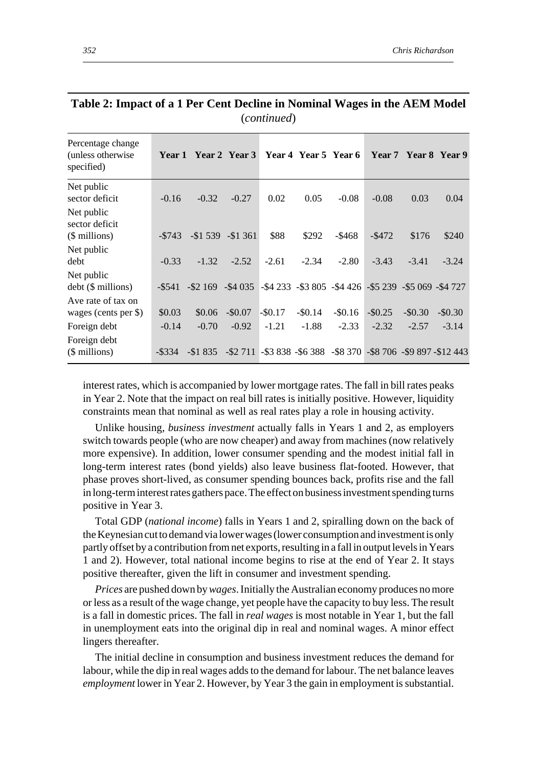| Percentage change<br>(unless otherwise)<br>specified) |                      | Year 1 Year 2 Year 3   |                                                                                                 |            |            | Year 4 Year 5 Year 6                                                       |            |            | Year 7 Year 8 Year 9 |
|-------------------------------------------------------|----------------------|------------------------|-------------------------------------------------------------------------------------------------|------------|------------|----------------------------------------------------------------------------|------------|------------|----------------------|
| Net public<br>sector deficit                          | $-0.16$              | $-0.32$                | $-0.27$                                                                                         | 0.02       | 0.05       | $-0.08$                                                                    | $-0.08$    | 0.03       | 0.04                 |
| Net public<br>sector deficit<br>(\$ millions)         | $-\$743$             |                        | $-\$1539 - \$1361$                                                                              | \$88       | \$292      | $-\$468$                                                                   | $-\$472$   | \$176      | \$240                |
| Net public<br>debt                                    | $-0.33$              | $-1.32$                | $-2.52$                                                                                         | $-2.61$    | $-2.34$    | $-2.80$                                                                    | $-3.43$    | $-3.41$    | $-3.24$              |
| Net public<br>$debt$ ( $$$ millions)                  | -\$541               |                        | $-$ \$2 169 $-$ \$4 035 $-$ \$4 233 $-$ \$3 805 $-$ \$4 426 $-$ \$5 239 $-$ \$5 069 $-$ \$4 727 |            |            |                                                                            |            |            |                      |
| Ave rate of tax on<br>wages (cents per \$)            | \$0.03               | \$0.06                 | $-$0.07$                                                                                        | $-$ \$0.17 | $-$ \$0.14 | $-$ \$0.16                                                                 | $-$ \$0.25 | $-$ \$0.30 | $-$0.30$             |
| Foreign debt<br>Foreign debt<br>(\$ millions)         | $-0.14$<br>$-$ \$334 | $-0.70$<br>$-$ \$1 835 | $-0.92$                                                                                         | $-1.21$    | $-1.88$    | $-2.33$<br>-\$2 711 -\$3 838 -\$6 388 -\$8 370 -\$8 706 -\$9 897 -\$12 443 | $-2.32$    | $-2.57$    | $-3.14$              |
|                                                       |                      |                        |                                                                                                 |            |            |                                                                            |            |            |                      |

| Table 2: Impact of a 1 Per Cent Decline in Nominal Wages in the AEM Model |  |
|---------------------------------------------------------------------------|--|
| (continued)                                                               |  |

interest rates, which is accompanied by lower mortgage rates. The fall in bill rates peaks in Year 2. Note that the impact on real bill rates is initially positive. However, liquidity constraints mean that nominal as well as real rates play a role in housing activity.

Unlike housing, *business investment* actually falls in Years 1 and 2, as employers switch towards people (who are now cheaper) and away from machines (now relatively more expensive). In addition, lower consumer spending and the modest initial fall in long-term interest rates (bond yields) also leave business flat-footed. However, that phase proves short-lived, as consumer spending bounces back, profits rise and the fall in long-term interest rates gathers pace. The effect on business investment spending turns positive in Year 3.

Total GDP (*national income*) falls in Years 1 and 2, spiralling down on the back of the Keynesian cut to demand via lower wages (lower consumption and investment is only partly offset by a contribution from net exports, resulting in a fall in output levels in Years 1 and 2). However, total national income begins to rise at the end of Year 2. It stays positive thereafter, given the lift in consumer and investment spending.

*Prices* are pushed down by *wages*. Initially the Australian economy produces no more or less as a result of the wage change, yet people have the capacity to buy less. The result is a fall in domestic prices. The fall in *real wages* is most notable in Year 1, but the fall in unemployment eats into the original dip in real and nominal wages. A minor effect lingers thereafter.

The initial decline in consumption and business investment reduces the demand for labour, while the dip in real wages adds to the demand for labour. The net balance leaves *employment* lower in Year 2. However, by Year 3 the gain in employment is substantial.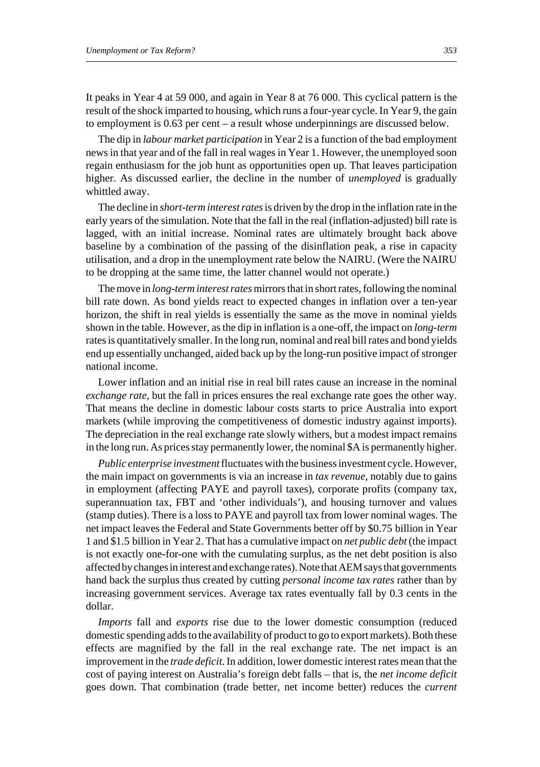It peaks in Year 4 at 59 000, and again in Year 8 at 76 000. This cyclical pattern is the result of the shock imparted to housing, which runs a four-year cycle. In Year 9, the gain to employment is 0.63 per cent – a result whose underpinnings are discussed below.

The dip in *labour market participation* in Year 2 is a function of the bad employment news in that year and of the fall in real wages in Year 1. However, the unemployed soon regain enthusiasm for the job hunt as opportunities open up. That leaves participation higher. As discussed earlier, the decline in the number of *unemployed* is gradually whittled away.

The decline in *short-term interest rates* is driven by the drop in the inflation rate in the early years of the simulation. Note that the fall in the real (inflation-adjusted) bill rate is lagged, with an initial increase. Nominal rates are ultimately brought back above baseline by a combination of the passing of the disinflation peak, a rise in capacity utilisation, and a drop in the unemployment rate below the NAIRU. (Were the NAIRU to be dropping at the same time, the latter channel would not operate.)

The move in *long-term interest rates* mirrors that in short rates, following the nominal bill rate down. As bond yields react to expected changes in inflation over a ten-year horizon, the shift in real yields is essentially the same as the move in nominal yields shown in the table. However, as the dip in inflation is a one-off, the impact on *long-term* rates is quantitatively smaller. In the long run, nominal and real bill rates and bond yields end up essentially unchanged, aided back up by the long-run positive impact of stronger national income.

Lower inflation and an initial rise in real bill rates cause an increase in the nominal *exchange rate*, but the fall in prices ensures the real exchange rate goes the other way. That means the decline in domestic labour costs starts to price Australia into export markets (while improving the competitiveness of domestic industry against imports). The depreciation in the real exchange rate slowly withers, but a modest impact remains in the long run. As prices stay permanently lower, the nominal \$A is permanently higher.

*Public enterprise investment* fluctuates with the business investment cycle. However, the main impact on governments is via an increase in *tax revenue*, notably due to gains in employment (affecting PAYE and payroll taxes), corporate profits (company tax, superannuation tax, FBT and 'other individuals'), and housing turnover and values (stamp duties). There is a loss to PAYE and payroll tax from lower nominal wages. The net impact leaves the Federal and State Governments better off by \$0.75 billion in Year 1 and \$1.5 billion in Year 2. That has a cumulative impact on *net public debt* (the impact is not exactly one-for-one with the cumulating surplus, as the net debt position is also affected by changes in interest and exchange rates). Note that AEM says that governments hand back the surplus thus created by cutting *personal income tax rates* rather than by increasing government services. Average tax rates eventually fall by 0.3 cents in the dollar.

*Imports* fall and *exports* rise due to the lower domestic consumption (reduced domestic spending adds to the availability of product to go to export markets). Both these effects are magnified by the fall in the real exchange rate. The net impact is an improvement in the *trade deficit*. In addition, lower domestic interest rates mean that the cost of paying interest on Australia's foreign debt falls – that is, the *net income deficit* goes down. That combination (trade better, net income better) reduces the *current*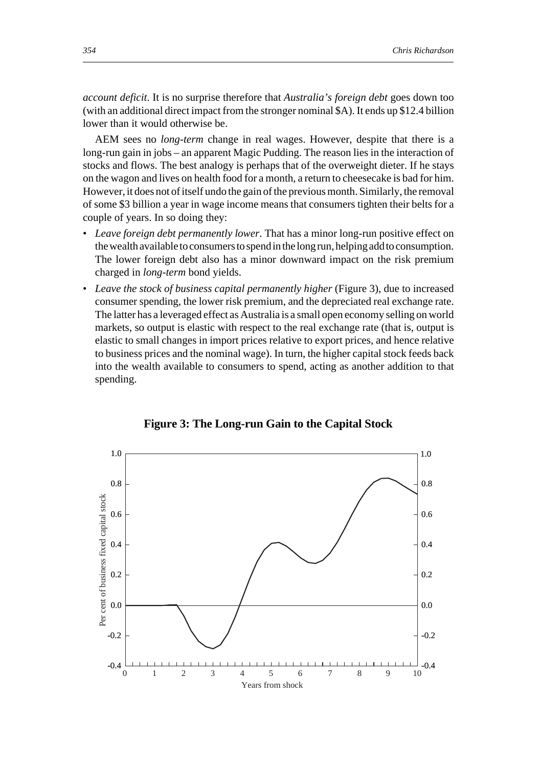*account deficit*. It is no surprise therefore that *Australia's foreign debt* goes down too (with an additional direct impact from the stronger nominal \$A). It ends up \$12.4 billion lower than it would otherwise be.

AEM sees no *long-term* change in real wages. However, despite that there is a long-run gain in jobs – an apparent Magic Pudding. The reason lies in the interaction of stocks and flows. The best analogy is perhaps that of the overweight dieter. If he stays on the wagon and lives on health food for a month, a return to cheesecake is bad for him. However, it does not of itself undo the gain of the previous month. Similarly, the removal of some \$3 billion a year in wage income means that consumers tighten their belts for a couple of years. In so doing they:

- *Leave foreign debt permanently lower*. That has a minor long-run positive effect on the wealth available to consumers to spend in the long run, helping add to consumption. The lower foreign debt also has a minor downward impact on the risk premium charged in *long-term* bond yields.
- *Leave the stock of business capital permanently higher* (Figure 3), due to increased consumer spending, the lower risk premium, and the depreciated real exchange rate. The latter has a leveraged effect as Australia is a small open economy selling on world markets, so output is elastic with respect to the real exchange rate (that is, output is elastic to small changes in import prices relative to export prices, and hence relative to business prices and the nominal wage). In turn, the higher capital stock feeds back into the wealth available to consumers to spend, acting as another addition to that spending.



**Figure 3: The Long-run Gain to the Capital Stock**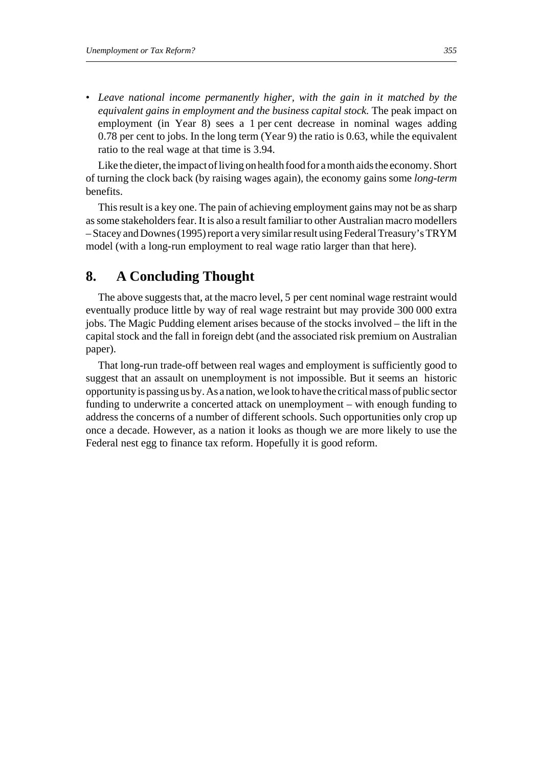• *Leave national income permanently higher, with the gain in it matched by the equivalent gains in employment and the business capital stock.* The peak impact on employment (in Year 8) sees a 1 per cent decrease in nominal wages adding 0.78 per cent to jobs. In the long term (Year 9) the ratio is 0.63, while the equivalent ratio to the real wage at that time is 3.94.

Like the dieter, the impact of living on health food for a month aids the economy. Short of turning the clock back (by raising wages again), the economy gains some *long-term* benefits.

This result is a key one. The pain of achieving employment gains may not be as sharp as some stakeholders fear. It is also a result familiar to other Australian macro modellers – Stacey and Downes (1995) report a very similar result using Federal Treasury's TRYM model (with a long-run employment to real wage ratio larger than that here).

## **8. A Concluding Thought**

The above suggests that, at the macro level, 5 per cent nominal wage restraint would eventually produce little by way of real wage restraint but may provide 300 000 extra jobs. The Magic Pudding element arises because of the stocks involved – the lift in the capital stock and the fall in foreign debt (and the associated risk premium on Australian paper).

That long-run trade-off between real wages and employment is sufficiently good to suggest that an assault on unemployment is not impossible. But it seems an historic opportunity is passing us by. As a nation, we look to have the critical mass of public sector funding to underwrite a concerted attack on unemployment – with enough funding to address the concerns of a number of different schools. Such opportunities only crop up once a decade. However, as a nation it looks as though we are more likely to use the Federal nest egg to finance tax reform. Hopefully it is good reform.